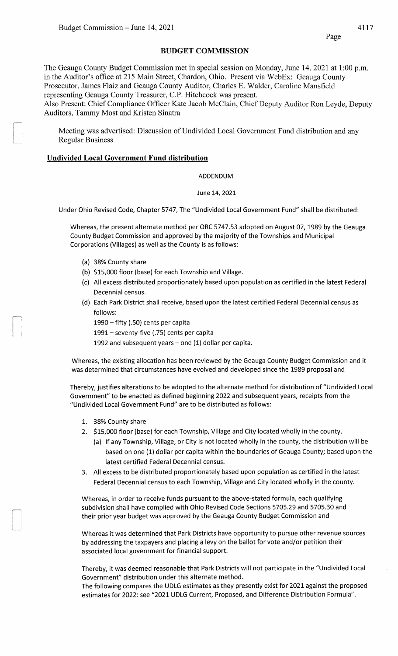## **BUDGET COMMISSION**

The Geauga County Budget Commission met in special session on Monday, June 14,2021 at 1:00 p.m. in the Auditor's office at 215 Main Street, Chardon, Ohio. Present via WebEx: Geauga County Prosecutor, James Flaiz and Geauga County Auditor, Charles E. Walder, Caroline Mansfield representing Geauga County Treasurer, C.P. Hitchcock was present.

Also Present: Chief Compliance Officer Kate Jacob McClain, Chief Deputy Auditor Ron Leyde, Deputy Auditors, Tammy Most and Kristen Sinatra

Meeting was advertised: Discussion of Undivided Local Government Fund distribution and any Regular Business

## **Undivided Local Government Fund distribution**

ADDENDUM

June 14, 2021

Under Ohio Revised Code, Chapter 5747, The "Undivided Local Government Fund" shall be distributed:

Whereas, the present alternate method per ORC 5747.53 adopted on August 07, 1989 by the Geauga County Budget Commission and approved by the majority of the Townships and Municipal Corporations (Villages) as well as the County is as follows:

- (a) 38% County share
- (b) \$15,000 floor (base) for each Township and Village.
- (c) All excess distributed proportionately based upon population as certified in the latest Federal Decennial census.
- (d) Each Park District shall receive, based upon the latest certified Federal Decennial census as follows:
	- 1990- fifty (.SO) cents per capita
	- 1991- seventy-five (.75) cents per capita
	- 1992 and subsequent years one (1) dollar per capita.

Whereas, the existing allocation has been reviewed by the Geauga County Budget Commission and it was determined that circumstances have evolved and developed since the 1989 proposal and

Thereby, justifies alterations to be adopted to the alternate method for distribution of "Undivided Local Government" to be enacted as defined beginning 2022 and subsequent years, receipts from the "Undivided Local Government Fund" are to be distributed as follows:

- 1. 38% County share
- 2. \$15,000 floor (base) for each Township, Village and City located wholly in the county.
	- (a) If any Township, Village, or City is not located wholly in the county, the distribution will be based on one (1) dollar per capita within the boundaries of Geauga County; based upon the latest certified Federal Decennial census.
- 3. All excess to be distributed proportionately based upon population as certified in the latest Federal Decennial census to each Township, Village and City located wholly in the county.

Whereas, in order to receive funds pursuant to the above-stated formula, each qualifying subdivision shall have complied with Ohio Revised Code Sections 5705.29 and 5705.30 and their prior year budget was approved by the Geauga County Budget Commission and

Whereas it was determined that Park Districts have opportunity to pursue other revenue sources by addressing the taxpayers and placing a levy on the ballot for vote and/or petition their associated local government for financial support.

Thereby, it was deemed reasonable that Park Districts will not participate in the "Undivided Local Government" distribution under this alternate method.

The following compares the UDLG estimates as they presently exist for 2021 against the proposed estimates for 2022: see "2021 UDLG Current, Proposed, and Difference Distribution Formula".

Page